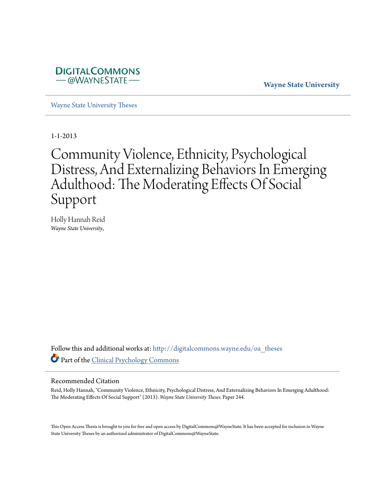

**Wayne State University**

[Wayne State University Theses](http://digitalcommons.wayne.edu/oa_theses?utm_source=digitalcommons.wayne.edu%2Foa_theses%2F244&utm_medium=PDF&utm_campaign=PDFCoverPages)

1-1-2013

# Community Violence, Ethnicity, Psychological Distress, And Externalizing Behaviors In Emerging Adulthood: The Moderating Effects Of Social Support

Holly Hannah Reid *Wayne State University*,

Follow this and additional works at: [http://digitalcommons.wayne.edu/oa\\_theses](http://digitalcommons.wayne.edu/oa_theses?utm_source=digitalcommons.wayne.edu%2Foa_theses%2F244&utm_medium=PDF&utm_campaign=PDFCoverPages) Part of the [Clinical Psychology Commons](http://network.bepress.com/hgg/discipline/406?utm_source=digitalcommons.wayne.edu%2Foa_theses%2F244&utm_medium=PDF&utm_campaign=PDFCoverPages)

#### Recommended Citation

Reid, Holly Hannah, "Community Violence, Ethnicity, Psychological Distress, And Externalizing Behaviors In Emerging Adulthood: The Moderating Effects Of Social Support" (2013). *Wayne State University Theses.* Paper 244.

This Open Access Thesis is brought to you for free and open access by DigitalCommons@WayneState. It has been accepted for inclusion in Wayne State University Theses by an authorized administrator of DigitalCommons@WayneState.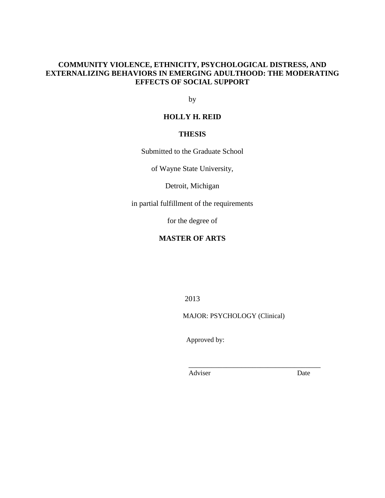## **COMMUNITY VIOLENCE, ETHNICITY, PSYCHOLOGICAL DISTRESS, AND EXTERNALIZING BEHAVIORS IN EMERGING ADULTHOOD: THE MODERATING EFFECTS OF SOCIAL SUPPORT**

by

### **HOLLY H. REID**

## **THESIS**

Submitted to the Graduate School

of Wayne State University,

Detroit, Michigan

in partial fulfillment of the requirements

for the degree of

## **MASTER OF ARTS**

2013

MAJOR: PSYCHOLOGY (Clinical)

 $\frac{1}{2}$  ,  $\frac{1}{2}$  ,  $\frac{1}{2}$  ,  $\frac{1}{2}$  ,  $\frac{1}{2}$  ,  $\frac{1}{2}$  ,  $\frac{1}{2}$  ,  $\frac{1}{2}$  ,  $\frac{1}{2}$  ,  $\frac{1}{2}$  ,  $\frac{1}{2}$  ,  $\frac{1}{2}$  ,  $\frac{1}{2}$  ,  $\frac{1}{2}$  ,  $\frac{1}{2}$  ,  $\frac{1}{2}$  ,  $\frac{1}{2}$  ,  $\frac{1}{2}$  ,  $\frac{1$ 

Approved by:

Adviser Date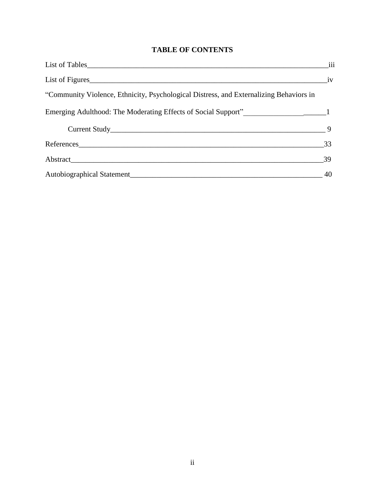# **TABLE OF CONTENTS**

|                                                                                        | iii |
|----------------------------------------------------------------------------------------|-----|
| List of Figures                                                                        | iv  |
| "Community Violence, Ethnicity, Psychological Distress, and Externalizing Behaviors in |     |
| Emerging Adulthood: The Moderating Effects of Social Support"<br>1                     |     |
|                                                                                        |     |
| References                                                                             | 33  |
|                                                                                        | 39  |
|                                                                                        | 40  |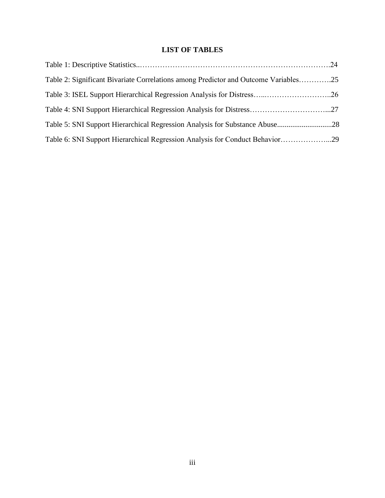## **LIST OF TABLES**

| Table 2: Significant Bivariate Correlations among Predictor and Outcome Variables25 |  |
|-------------------------------------------------------------------------------------|--|
|                                                                                     |  |
|                                                                                     |  |
|                                                                                     |  |
| Table 6: SNI Support Hierarchical Regression Analysis for Conduct Behavior29        |  |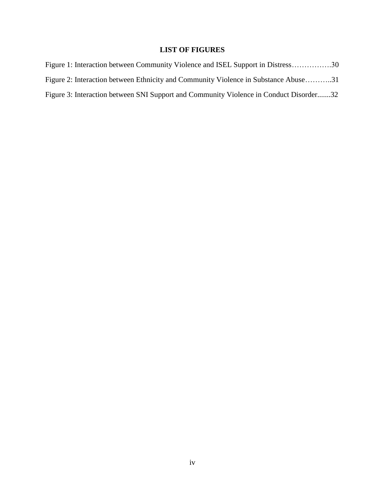## **LIST OF FIGURES**

| Figure 1: Interaction between Community Violence and ISEL Support in Distress30        |  |
|----------------------------------------------------------------------------------------|--|
| Figure 2: Interaction between Ethnicity and Community Violence in Substance Abuse31    |  |
| Figure 3: Interaction between SNI Support and Community Violence in Conduct Disorder32 |  |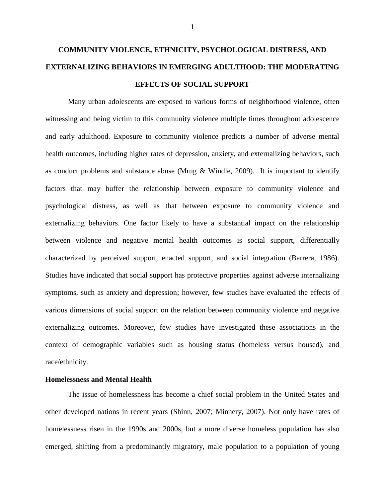# **COMMUNITY VIOLENCE, ETHNICITY, PSYCHOLOGICAL DISTRESS, AND EXTERNALIZING BEHAVIORS IN EMERGING ADULTHOOD: THE MODERATING EFFECTS OF SOCIAL SUPPORT**

Many urban adolescents are exposed to various forms of neighborhood violence, often witnessing and being victim to this community violence multiple times throughout adolescence and early adulthood. Exposure to community violence predicts a number of adverse mental health outcomes, including higher rates of depression, anxiety, and externalizing behaviors, such as conduct problems and substance abuse (Mrug & Windle, 2009). It is important to identify factors that may buffer the relationship between exposure to community violence and psychological distress, as well as that between exposure to community violence and externalizing behaviors. One factor likely to have a substantial impact on the relationship between violence and negative mental health outcomes is social support, differentially characterized by perceived support, enacted support, and social integration (Barrera, 1986). Studies have indicated that social support has protective properties against adverse internalizing symptoms, such as anxiety and depression; however, few studies have evaluated the effects of various dimensions of social support on the relation between community violence and negative externalizing outcomes. Moreover, few studies have investigated these associations in the context of demographic variables such as housing status (homeless versus housed), and race/ethnicity.

#### **Homelessness and Mental Health**

The issue of homelessness has become a chief social problem in the United States and other developed nations in recent years (Shinn, 2007; Minnery, 2007). Not only have rates of homelessness risen in the 1990s and 2000s, but a more diverse homeless population has also emerged, shifting from a predominantly migratory, male population to a population of young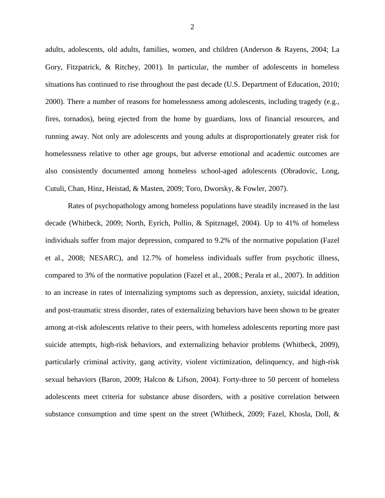adults, adolescents, old adults, families, women, and children (Anderson & Rayens, 2004; La Gory, Fitzpatrick, & Ritchey, 2001). In particular, the number of adolescents in homeless situations has continued to rise throughout the past decade (U.S. Department of Education, 2010; 2000). There a number of reasons for homelessness among adolescents, including tragedy (e.g., fires, tornados), being ejected from the home by guardians, loss of financial resources, and running away. Not only are adolescents and young adults at disproportionately greater risk for homelessness relative to other age groups, but adverse emotional and academic outcomes are also consistently documented among homeless school-aged adolescents (Obradovic, Long, Cutuli, Chan, Hinz, Heistad, & Masten, 2009; Toro, Dworsky, & Fowler, 2007).

Rates of psychopathology among homeless populations have steadily increased in the last decade (Whitbeck, 2009; North, Eyrich, Pollio, & Spitznagel, 2004). Up to 41% of homeless individuals suffer from major depression, compared to 9.2% of the normative population (Fazel et al., 2008; NESARC), and 12.7% of homeless individuals suffer from psychotic illness, compared to 3% of the normative population (Fazel et al., 2008.; Perala et al., 2007). In addition to an increase in rates of internalizing symptoms such as depression, anxiety, suicidal ideation, and post-traumatic stress disorder, rates of externalizing behaviors have been shown to be greater among at-risk adolescents relative to their peers, with homeless adolescents reporting more past suicide attempts, high-risk behaviors, and externalizing behavior problems (Whitbeck, 2009), particularly criminal activity, gang activity, violent victimization, delinquency, and high-risk sexual behaviors (Baron, 2009; Halcon & Lifson, 2004). Forty-three to 50 percent of homeless adolescents meet criteria for substance abuse disorders, with a positive correlation between substance consumption and time spent on the street (Whitbeck, 2009; Fazel, Khosla, Doll, &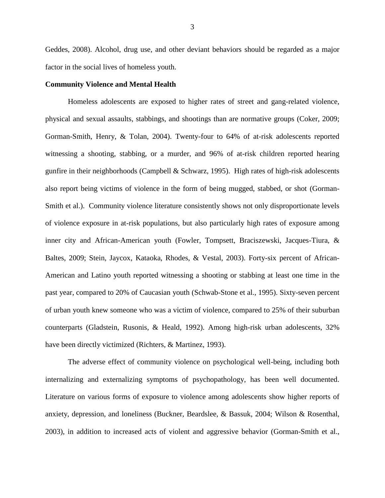Geddes, 2008). Alcohol, drug use, and other deviant behaviors should be regarded as a major factor in the social lives of homeless youth.

#### **Community Violence and Mental Health**

Homeless adolescents are exposed to higher rates of street and gang-related violence, physical and sexual assaults, stabbings, and shootings than are normative groups (Coker, 2009; Gorman-Smith, Henry, & Tolan, 2004). Twenty-four to 64% of at-risk adolescents reported witnessing a shooting, stabbing, or a murder, and 96% of at-risk children reported hearing gunfire in their neighborhoods (Campbell & Schwarz, 1995). High rates of high-risk adolescents also report being victims of violence in the form of being mugged, stabbed, or shot (Gorman-Smith et al.). Community violence literature consistently shows not only disproportionate levels of violence exposure in at-risk populations, but also particularly high rates of exposure among inner city and African-American youth (Fowler, Tompsett, Braciszewski, Jacques-Tiura, & Baltes, 2009; Stein, Jaycox, Kataoka, Rhodes, & Vestal, 2003). Forty-six percent of African-American and Latino youth reported witnessing a shooting or stabbing at least one time in the past year, compared to 20% of Caucasian youth (Schwab-Stone et al., 1995). Sixty-seven percent of urban youth knew someone who was a victim of violence, compared to 25% of their suburban counterparts (Gladstein, Rusonis, & Heald, 1992). Among high-risk urban adolescents, 32% have been directly victimized (Richters, & Martinez, 1993).

The adverse effect of community violence on psychological well-being, including both internalizing and externalizing symptoms of psychopathology, has been well documented. Literature on various forms of exposure to violence among adolescents show higher reports of anxiety, depression, and loneliness (Buckner, Beardslee, & Bassuk, 2004; Wilson & Rosenthal, 2003), in addition to increased acts of violent and aggressive behavior (Gorman-Smith et al.,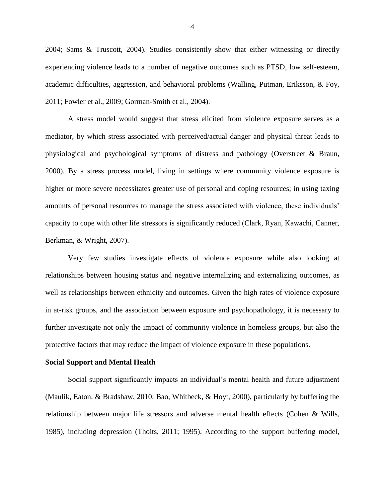2004; Sams & Truscott, 2004). Studies consistently show that either witnessing or directly experiencing violence leads to a number of negative outcomes such as PTSD, low self-esteem, academic difficulties, aggression, and behavioral problems (Walling, Putman, Eriksson, & Foy, 2011; Fowler et al., 2009; Gorman-Smith et al., 2004).

A stress model would suggest that stress elicited from violence exposure serves as a mediator, by which stress associated with perceived/actual danger and physical threat leads to physiological and psychological symptoms of distress and pathology (Overstreet & Braun, 2000). By a stress process model, living in settings where community violence exposure is higher or more severe necessitates greater use of personal and coping resources; in using taxing amounts of personal resources to manage the stress associated with violence, these individuals' capacity to cope with other life stressors is significantly reduced (Clark, Ryan, Kawachi, Canner, Berkman, & Wright, 2007).

Very few studies investigate effects of violence exposure while also looking at relationships between housing status and negative internalizing and externalizing outcomes, as well as relationships between ethnicity and outcomes. Given the high rates of violence exposure in at-risk groups, and the association between exposure and psychopathology, it is necessary to further investigate not only the impact of community violence in homeless groups, but also the protective factors that may reduce the impact of violence exposure in these populations.

#### **Social Support and Mental Health**

Social support significantly impacts an individual's mental health and future adjustment (Maulik, Eaton, & Bradshaw, 2010; Bao, Whitbeck, & Hoyt, 2000), particularly by buffering the relationship between major life stressors and adverse mental health effects (Cohen & Wills, 1985), including depression (Thoits, 2011; 1995). According to the support buffering model,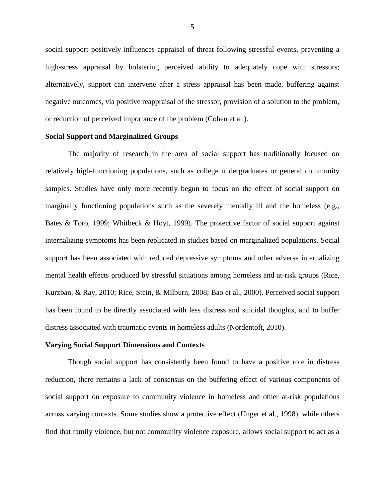social support positively influences appraisal of threat following stressful events, preventing a high-stress appraisal by bolstering perceived ability to adequately cope with stressors; alternatively, support can intervene after a stress appraisal has been made, buffering against negative outcomes, via positive reappraisal of the stressor, provision of a solution to the problem, or reduction of perceived importance of the problem (Cohen et al.).

#### **Social Support and Marginalized Groups**

The majority of research in the area of social support has traditionally focused on relatively high-functioning populations, such as college undergraduates or general community samples. Studies have only more recently begun to focus on the effect of social support on marginally functioning populations such as the severely mentally ill and the homeless (e.g., Bates & Toro, 1999; Whitbeck & Hoyt, 1999). The protective factor of social support against internalizing symptoms has been replicated in studies based on marginalized populations. Social support has been associated with reduced depressive symptoms and other adverse internalizing mental health effects produced by stressful situations among homeless and at-risk groups (Rice, Kurzban, & Ray, 2010; Rice, Stein, & Milburn, 2008; Bao et al., 2000). Perceived social support has been found to be directly associated with less distress and suicidal thoughts, and to buffer distress associated with traumatic events in homeless adults (Nordentoft, 2010).

#### **Varying Social Support Dimensions and Contexts**

Though social support has consistently been found to have a positive role in distress reduction, there remains a lack of consensus on the buffering effect of various components of social support on exposure to community violence in homeless and other at-risk populations across varying contexts. Some studies show a protective effect (Unger et al., 1998), while others find that family violence, but not community violence exposure, allows social support to act as a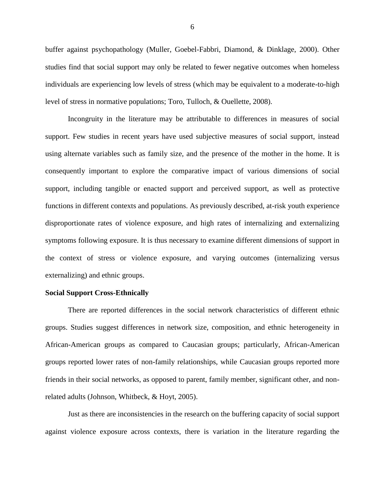buffer against psychopathology (Muller, Goebel-Fabbri, Diamond, & Dinklage, 2000). Other studies find that social support may only be related to fewer negative outcomes when homeless individuals are experiencing low levels of stress (which may be equivalent to a moderate-to-high level of stress in normative populations; Toro, Tulloch, & Ouellette, 2008).

Incongruity in the literature may be attributable to differences in measures of social support. Few studies in recent years have used subjective measures of social support, instead using alternate variables such as family size, and the presence of the mother in the home. It is consequently important to explore the comparative impact of various dimensions of social support, including tangible or enacted support and perceived support, as well as protective functions in different contexts and populations. As previously described, at-risk youth experience disproportionate rates of violence exposure, and high rates of internalizing and externalizing symptoms following exposure. It is thus necessary to examine different dimensions of support in the context of stress or violence exposure, and varying outcomes (internalizing versus externalizing) and ethnic groups.

#### **Social Support Cross-Ethnically**

There are reported differences in the social network characteristics of different ethnic groups. Studies suggest differences in network size, composition, and ethnic heterogeneity in African-American groups as compared to Caucasian groups; particularly, African-American groups reported lower rates of non-family relationships, while Caucasian groups reported more friends in their social networks, as opposed to parent, family member, significant other, and nonrelated adults (Johnson, Whitbeck, & Hoyt, 2005).

Just as there are inconsistencies in the research on the buffering capacity of social support against violence exposure across contexts, there is variation in the literature regarding the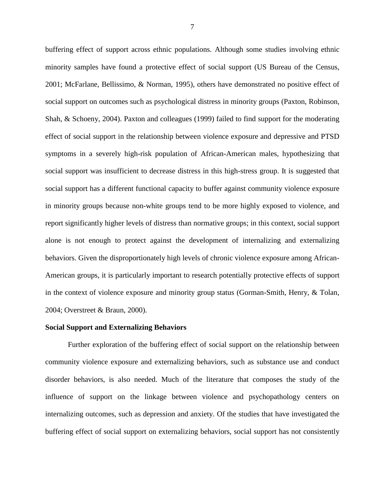buffering effect of support across ethnic populations. Although some studies involving ethnic minority samples have found a protective effect of social support (US Bureau of the Census, 2001; McFarlane, Bellissimo, & Norman, 1995), others have demonstrated no positive effect of social support on outcomes such as psychological distress in minority groups (Paxton, Robinson, Shah, & Schoeny, 2004). Paxton and colleagues (1999) failed to find support for the moderating effect of social support in the relationship between violence exposure and depressive and PTSD symptoms in a severely high-risk population of African-American males, hypothesizing that social support was insufficient to decrease distress in this high-stress group. It is suggested that social support has a different functional capacity to buffer against community violence exposure in minority groups because non-white groups tend to be more highly exposed to violence, and report significantly higher levels of distress than normative groups; in this context, social support alone is not enough to protect against the development of internalizing and externalizing behaviors. Given the disproportionately high levels of chronic violence exposure among African-American groups, it is particularly important to research potentially protective effects of support in the context of violence exposure and minority group status (Gorman-Smith, Henry, & Tolan, 2004; Overstreet & Braun, 2000).

#### **Social Support and Externalizing Behaviors**

Further exploration of the buffering effect of social support on the relationship between community violence exposure and externalizing behaviors, such as substance use and conduct disorder behaviors, is also needed. Much of the literature that composes the study of the influence of support on the linkage between violence and psychopathology centers on internalizing outcomes, such as depression and anxiety. Of the studies that have investigated the buffering effect of social support on externalizing behaviors, social support has not consistently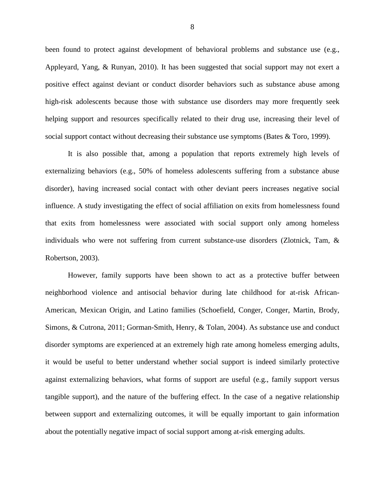been found to protect against development of behavioral problems and substance use (e.g., Appleyard, Yang, & Runyan, 2010). It has been suggested that social support may not exert a positive effect against deviant or conduct disorder behaviors such as substance abuse among high-risk adolescents because those with substance use disorders may more frequently seek helping support and resources specifically related to their drug use, increasing their level of social support contact without decreasing their substance use symptoms (Bates & Toro, 1999).

It is also possible that, among a population that reports extremely high levels of externalizing behaviors (e.g., 50% of homeless adolescents suffering from a substance abuse disorder), having increased social contact with other deviant peers increases negative social influence. A study investigating the effect of social affiliation on exits from homelessness found that exits from homelessness were associated with social support only among homeless individuals who were not suffering from current substance-use disorders (Zlotnick, Tam, & Robertson, 2003).

However, family supports have been shown to act as a protective buffer between neighborhood violence and antisocial behavior during late childhood for at-risk African-American, Mexican Origin, and Latino families (Schoefield, Conger, Conger, Martin, Brody, Simons, & Cutrona, 2011; Gorman-Smith, Henry, & Tolan, 2004). As substance use and conduct disorder symptoms are experienced at an extremely high rate among homeless emerging adults, it would be useful to better understand whether social support is indeed similarly protective against externalizing behaviors, what forms of support are useful (e.g., family support versus tangible support), and the nature of the buffering effect. In the case of a negative relationship between support and externalizing outcomes, it will be equally important to gain information about the potentially negative impact of social support among at-risk emerging adults.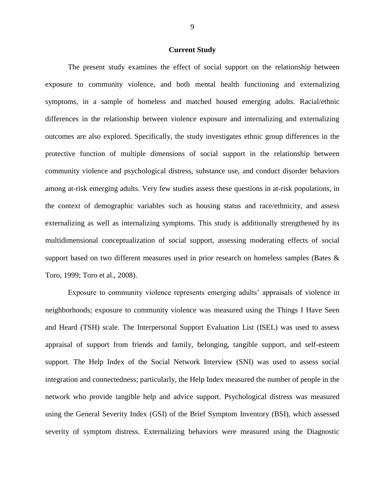#### **Current Study**

The present study examines the effect of social support on the relationship between exposure to community violence, and both mental health functioning and externalizing symptoms, in a sample of homeless and matched housed emerging adults. Racial/ethnic differences in the relationship between violence exposure and internalizing and externalizing outcomes are also explored. Specifically, the study investigates ethnic group differences in the protective function of multiple dimensions of social support in the relationship between community violence and psychological distress, substance use, and conduct disorder behaviors among at-risk emerging adults. Very few studies assess these questions in at-risk populations, in the context of demographic variables such as housing status and race/ethnicity, and assess externalizing as well as internalizing symptoms. This study is additionally strengthened by its multidimensional conceptualization of social support, assessing moderating effects of social support based on two different measures used in prior research on homeless samples (Bates & Toro, 1999; Toro et al., 2008).

Exposure to community violence represents emerging adults' appraisals of violence in neighborhoods; exposure to community violence was measured using the Things I Have Seen and Heard (TSH) scale. The Interpersonal Support Evaluation List (ISEL) was used to assess appraisal of support from friends and family, belonging, tangible support, and self-esteem support. The Help Index of the Social Network Interview (SNI) was used to assess social integration and connectedness; particularly, the Help Index measured the number of people in the network who provide tangible help and advice support. Psychological distress was measured using the General Severity Index (GSI) of the Brief Symptom Inventory (BSI), which assessed severity of symptom distress. Externalizing behaviors were measured using the Diagnostic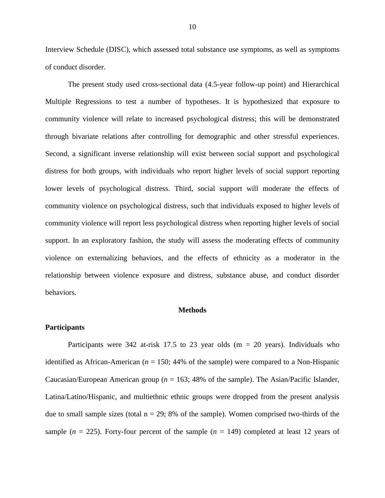Interview Schedule (DISC), which assessed total substance use symptoms, as well as symptoms of conduct disorder.

The present study used cross-sectional data (4.5-year follow-up point) and Hierarchical Multiple Regressions to test a number of hypotheses. It is hypothesized that exposure to community violence will relate to increased psychological distress; this will be demonstrated through bivariate relations after controlling for demographic and other stressful experiences. Second, a significant inverse relationship will exist between social support and psychological distress for both groups, with individuals who report higher levels of social support reporting lower levels of psychological distress. Third, social support will moderate the effects of community violence on psychological distress, such that individuals exposed to higher levels of community violence will report less psychological distress when reporting higher levels of social support. In an exploratory fashion, the study will assess the moderating effects of community violence on externalizing behaviors, and the effects of ethnicity as a moderator in the relationship between violence exposure and distress, substance abuse, and conduct disorder behaviors.

#### **Methods**

#### **Participants**

Participants were 342 at-risk 17.5 to 23 year olds  $(m = 20 \text{ years})$ . Individuals who identified as African-American (*n* = 150; 44% of the sample) were compared to a Non-Hispanic Caucasian/European American group ( $n = 163$ ; 48% of the sample). The Asian/Pacific Islander, Latina/Latino/Hispanic, and multiethnic ethnic groups were dropped from the present analysis due to small sample sizes (total  $n = 29$ ; 8% of the sample). Women comprised two-thirds of the sample  $(n = 225)$ . Forty-four percent of the sample  $(n = 149)$  completed at least 12 years of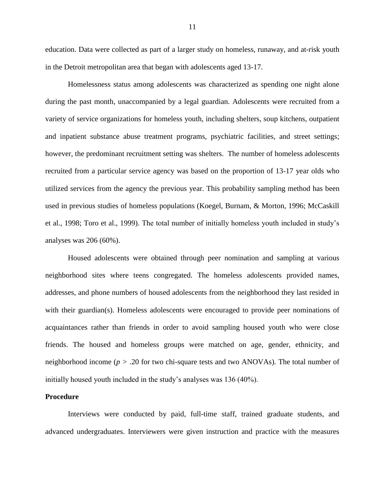education. Data were collected as part of a larger study on homeless, runaway, and at-risk youth in the Detroit metropolitan area that began with adolescents aged 13-17.

Homelessness status among adolescents was characterized as spending one night alone during the past month, unaccompanied by a legal guardian. Adolescents were recruited from a variety of service organizations for homeless youth, including shelters, soup kitchens, outpatient and inpatient substance abuse treatment programs, psychiatric facilities, and street settings; however, the predominant recruitment setting was shelters. The number of homeless adolescents recruited from a particular service agency was based on the proportion of 13-17 year olds who utilized services from the agency the previous year. This probability sampling method has been used in previous studies of homeless populations (Koegel, Burnam, & Morton, 1996; McCaskill et al., 1998; Toro et al., 1999). The total number of initially homeless youth included in study's analyses was 206 (60%).

Housed adolescents were obtained through peer nomination and sampling at various neighborhood sites where teens congregated. The homeless adolescents provided names, addresses, and phone numbers of housed adolescents from the neighborhood they last resided in with their guardian(s). Homeless adolescents were encouraged to provide peer nominations of acquaintances rather than friends in order to avoid sampling housed youth who were close friends. The housed and homeless groups were matched on age, gender, ethnicity, and neighborhood income (*p >* .20 for two chi-square tests and two ANOVAs). The total number of initially housed youth included in the study's analyses was 136 (40%).

#### **Procedure**

Interviews were conducted by paid, full-time staff, trained graduate students, and advanced undergraduates. Interviewers were given instruction and practice with the measures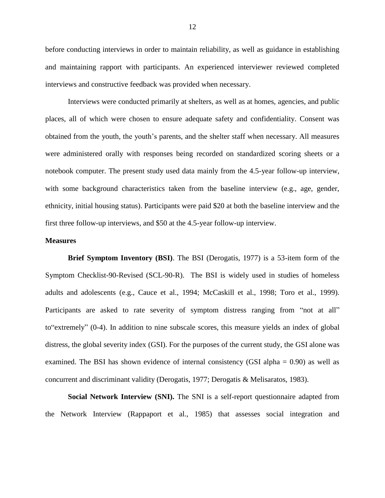before conducting interviews in order to maintain reliability, as well as guidance in establishing and maintaining rapport with participants. An experienced interviewer reviewed completed interviews and constructive feedback was provided when necessary.

Interviews were conducted primarily at shelters, as well as at homes, agencies, and public places, all of which were chosen to ensure adequate safety and confidentiality. Consent was obtained from the youth, the youth's parents, and the shelter staff when necessary. All measures were administered orally with responses being recorded on standardized scoring sheets or a notebook computer. The present study used data mainly from the 4.5-year follow-up interview, with some background characteristics taken from the baseline interview (e.g., age, gender, ethnicity, initial housing status). Participants were paid \$20 at both the baseline interview and the first three follow-up interviews, and \$50 at the 4.5-year follow-up interview.

#### **Measures**

**Brief Symptom Inventory (BSI)**. The BSI (Derogatis, 1977) is a 53-item form of the Symptom Checklist-90-Revised (SCL-90-R). The BSI is widely used in studies of homeless adults and adolescents (e.g., Cauce et al., 1994; McCaskill et al., 1998; Toro et al., 1999). Participants are asked to rate severity of symptom distress ranging from "not at all" to"extremely" (0-4). In addition to nine subscale scores, this measure yields an index of global distress, the global severity index (GSI). For the purposes of the current study, the GSI alone was examined. The BSI has shown evidence of internal consistency (GSI alpha  $= 0.90$ ) as well as concurrent and discriminant validity (Derogatis, 1977; Derogatis & Melisaratos, 1983).

**Social Network Interview (SNI).** The SNI is a self-report questionnaire adapted from the Network Interview (Rappaport et al., 1985) that assesses social integration and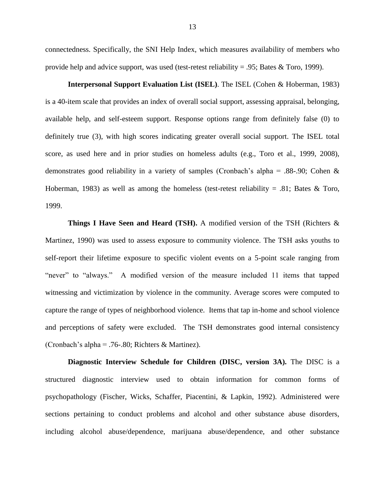connectedness. Specifically, the SNI Help Index, which measures availability of members who provide help and advice support, was used (test-retest reliability = .95; Bates  $\&$  Toro, 1999).

**Interpersonal Support Evaluation List (ISEL)**. The ISEL (Cohen & Hoberman, 1983) is a 40-item scale that provides an index of overall social support, assessing appraisal, belonging, available help, and self-esteem support. Response options range from definitely false (0) to definitely true (3), with high scores indicating greater overall social support. The ISEL total score, as used here and in prior studies on homeless adults (e.g., Toro et al., 1999, 2008), demonstrates good reliability in a variety of samples (Cronbach's alpha = .88-.90; Cohen & Hoberman, 1983) as well as among the homeless (test-retest reliability = .81; Bates & Toro, 1999.

**Things I Have Seen and Heard (TSH).** A modified version of the TSH (Richters & Martinez, 1990) was used to assess exposure to community violence. The TSH asks youths to self-report their lifetime exposure to specific violent events on a 5-point scale ranging from "never" to "always." A modified version of the measure included 11 items that tapped witnessing and victimization by violence in the community. Average scores were computed to capture the range of types of neighborhood violence. Items that tap in-home and school violence and perceptions of safety were excluded. The TSH demonstrates good internal consistency (Cronbach's alpha = .76-.80; Richters & Martinez).

**Diagnostic Interview Schedule for Children (DISC, version 3A).** The DISC is a structured diagnostic interview used to obtain information for common forms of psychopathology (Fischer, Wicks, Schaffer, Piacentini, & Lapkin, 1992). Administered were sections pertaining to conduct problems and alcohol and other substance abuse disorders, including alcohol abuse/dependence, marijuana abuse/dependence, and other substance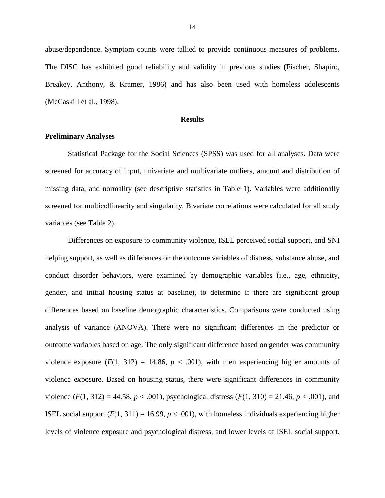abuse/dependence. Symptom counts were tallied to provide continuous measures of problems. The DISC has exhibited good reliability and validity in previous studies (Fischer, Shapiro, Breakey, Anthony, & Kramer, 1986) and has also been used with homeless adolescents (McCaskill et al., 1998).

#### **Results**

#### **Preliminary Analyses**

Statistical Package for the Social Sciences (SPSS) was used for all analyses. Data were screened for accuracy of input, univariate and multivariate outliers, amount and distribution of missing data, and normality (see descriptive statistics in Table 1). Variables were additionally screened for multicollinearity and singularity. Bivariate correlations were calculated for all study variables (see Table 2).

Differences on exposure to community violence, ISEL perceived social support, and SNI helping support, as well as differences on the outcome variables of distress, substance abuse, and conduct disorder behaviors, were examined by demographic variables (i.e., age, ethnicity, gender, and initial housing status at baseline), to determine if there are significant group differences based on baseline demographic characteristics. Comparisons were conducted using analysis of variance (ANOVA). There were no significant differences in the predictor or outcome variables based on age. The only significant difference based on gender was community violence exposure  $(F(1, 312) = 14.86, p < .001)$ , with men experiencing higher amounts of violence exposure. Based on housing status, there were significant differences in community violence  $(F(1, 312) = 44.58, p < .001)$ , psychological distress  $(F(1, 310) = 21.46, p < .001)$ , and ISEL social support  $(F(1, 311) = 16.99, p < .001)$ , with homeless individuals experiencing higher levels of violence exposure and psychological distress, and lower levels of ISEL social support.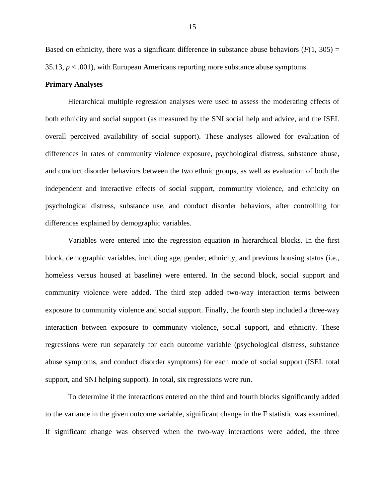Based on ethnicity, there was a significant difference in substance abuse behaviors  $(F(1, 305) =$ 35.13,  $p < .001$ ), with European Americans reporting more substance abuse symptoms.

#### **Primary Analyses**

Hierarchical multiple regression analyses were used to assess the moderating effects of both ethnicity and social support (as measured by the SNI social help and advice, and the ISEL overall perceived availability of social support). These analyses allowed for evaluation of differences in rates of community violence exposure, psychological distress, substance abuse, and conduct disorder behaviors between the two ethnic groups, as well as evaluation of both the independent and interactive effects of social support, community violence, and ethnicity on psychological distress, substance use, and conduct disorder behaviors, after controlling for differences explained by demographic variables.

Variables were entered into the regression equation in hierarchical blocks. In the first block, demographic variables, including age, gender, ethnicity, and previous housing status (i.e., homeless versus housed at baseline) were entered. In the second block, social support and community violence were added. The third step added two-way interaction terms between exposure to community violence and social support. Finally, the fourth step included a three-way interaction between exposure to community violence, social support, and ethnicity. These regressions were run separately for each outcome variable (psychological distress, substance abuse symptoms, and conduct disorder symptoms) for each mode of social support (ISEL total support, and SNI helping support). In total, six regressions were run.

To determine if the interactions entered on the third and fourth blocks significantly added to the variance in the given outcome variable, significant change in the F statistic was examined. If significant change was observed when the two-way interactions were added, the three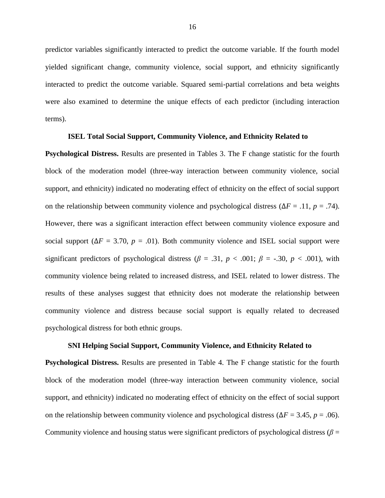predictor variables significantly interacted to predict the outcome variable. If the fourth model yielded significant change, community violence, social support, and ethnicity significantly interacted to predict the outcome variable. Squared semi-partial correlations and beta weights were also examined to determine the unique effects of each predictor (including interaction terms).

#### **ISEL Total Social Support, Community Violence, and Ethnicity Related to**

**Psychological Distress.** Results are presented in Tables 3. The F change statistic for the fourth block of the moderation model (three-way interaction between community violence, social support, and ethnicity) indicated no moderating effect of ethnicity on the effect of social support on the relationship between community violence and psychological distress ( $\Delta F = .11$ ,  $p = .74$ ). However, there was a significant interaction effect between community violence exposure and social support ( $\Delta F = 3.70$ ,  $p = .01$ ). Both community violence and ISEL social support were significant predictors of psychological distress ( $\beta$  = .31,  $p$  < .001;  $\beta$  = -.30,  $p$  < .001), with community violence being related to increased distress, and ISEL related to lower distress. The results of these analyses suggest that ethnicity does not moderate the relationship between community violence and distress because social support is equally related to decreased psychological distress for both ethnic groups.

#### **SNI Helping Social Support, Community Violence, and Ethnicity Related to**

**Psychological Distress.** Results are presented in Table 4. The F change statistic for the fourth block of the moderation model (three-way interaction between community violence, social support, and ethnicity) indicated no moderating effect of ethnicity on the effect of social support on the relationship between community violence and psychological distress ( $\Delta F = 3.45$ ,  $p = .06$ ). Community violence and housing status were significant predictors of psychological distress ( $\beta$  =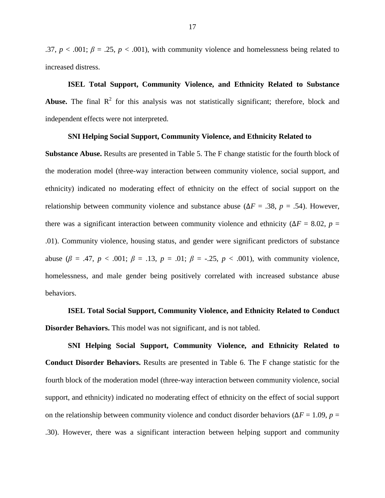.37,  $p < .001$ ;  $\beta = .25$ ,  $p < .001$ ), with community violence and homelessness being related to increased distress.

# **ISEL Total Support, Community Violence, and Ethnicity Related to Substance Abuse.** The final  $\mathbb{R}^2$  for this analysis was not statistically significant; therefore, block and independent effects were not interpreted.

#### **SNI Helping Social Support, Community Violence, and Ethnicity Related to**

**Substance Abuse.** Results are presented in Table 5. The F change statistic for the fourth block of the moderation model (three-way interaction between community violence, social support, and ethnicity) indicated no moderating effect of ethnicity on the effect of social support on the relationship between community violence and substance abuse ( $\Delta F = .38$ ,  $p = .54$ ). However, there was a significant interaction between community violence and ethnicity ( $\Delta F = 8.02$ , *p* = .01). Community violence, housing status, and gender were significant predictors of substance abuse ( $\beta$  = .47,  $p < .001$ ;  $\beta$  = .13,  $p = .01$ ;  $\beta$  = -.25,  $p < .001$ ), with community violence, homelessness, and male gender being positively correlated with increased substance abuse behaviors.

**ISEL Total Social Support, Community Violence, and Ethnicity Related to Conduct Disorder Behaviors.** This model was not significant, and is not tabled.

**SNI Helping Social Support, Community Violence, and Ethnicity Related to Conduct Disorder Behaviors.** Results are presented in Table 6. The F change statistic for the fourth block of the moderation model (three-way interaction between community violence, social support, and ethnicity) indicated no moderating effect of ethnicity on the effect of social support on the relationship between community violence and conduct disorder behaviors ( $\Delta F = 1.09$ , *p* = .30). However, there was a significant interaction between helping support and community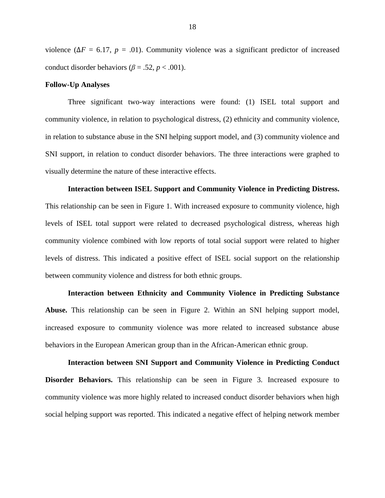violence ( $\Delta F = 6.17$ ,  $p = .01$ ). Community violence was a significant predictor of increased conduct disorder behaviors ( $\beta$  = .52, *p* < .001).

#### **Follow-Up Analyses**

Three significant two-way interactions were found: (1) ISEL total support and community violence, in relation to psychological distress, (2) ethnicity and community violence, in relation to substance abuse in the SNI helping support model, and (3) community violence and SNI support, in relation to conduct disorder behaviors. The three interactions were graphed to visually determine the nature of these interactive effects.

**Interaction between ISEL Support and Community Violence in Predicting Distress.** This relationship can be seen in Figure 1. With increased exposure to community violence, high levels of ISEL total support were related to decreased psychological distress, whereas high community violence combined with low reports of total social support were related to higher levels of distress. This indicated a positive effect of ISEL social support on the relationship between community violence and distress for both ethnic groups.

**Interaction between Ethnicity and Community Violence in Predicting Substance Abuse.** This relationship can be seen in Figure 2. Within an SNI helping support model, increased exposure to community violence was more related to increased substance abuse behaviors in the European American group than in the African-American ethnic group.

**Interaction between SNI Support and Community Violence in Predicting Conduct Disorder Behaviors.** This relationship can be seen in Figure 3. Increased exposure to community violence was more highly related to increased conduct disorder behaviors when high social helping support was reported. This indicated a negative effect of helping network member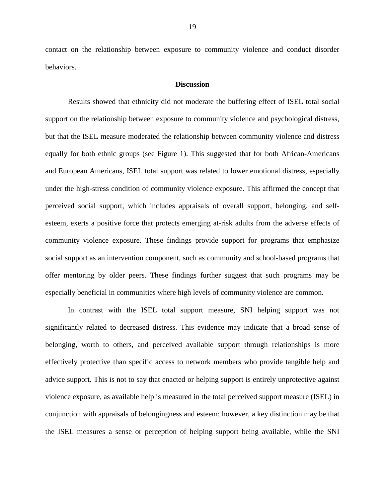contact on the relationship between exposure to community violence and conduct disorder behaviors.

#### **Discussion**

Results showed that ethnicity did not moderate the buffering effect of ISEL total social support on the relationship between exposure to community violence and psychological distress, but that the ISEL measure moderated the relationship between community violence and distress equally for both ethnic groups (see Figure 1). This suggested that for both African-Americans and European Americans, ISEL total support was related to lower emotional distress, especially under the high-stress condition of community violence exposure. This affirmed the concept that perceived social support, which includes appraisals of overall support, belonging, and selfesteem, exerts a positive force that protects emerging at-risk adults from the adverse effects of community violence exposure. These findings provide support for programs that emphasize social support as an intervention component, such as community and school-based programs that offer mentoring by older peers. These findings further suggest that such programs may be especially beneficial in communities where high levels of community violence are common.

In contrast with the ISEL total support measure, SNI helping support was not significantly related to decreased distress. This evidence may indicate that a broad sense of belonging, worth to others, and perceived available support through relationships is more effectively protective than specific access to network members who provide tangible help and advice support. This is not to say that enacted or helping support is entirely unprotective against violence exposure, as available help is measured in the total perceived support measure (ISEL) in conjunction with appraisals of belongingness and esteem; however, a key distinction may be that the ISEL measures a sense or perception of helping support being available, while the SNI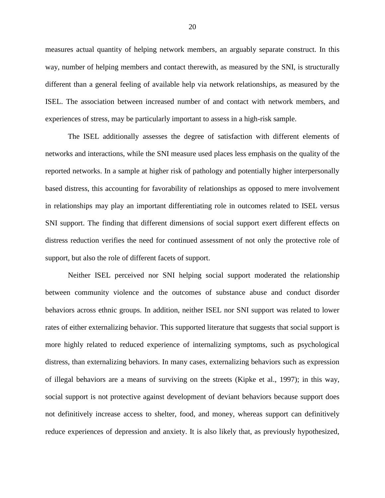measures actual quantity of helping network members, an arguably separate construct. In this way, number of helping members and contact therewith, as measured by the SNI, is structurally different than a general feeling of available help via network relationships, as measured by the ISEL. The association between increased number of and contact with network members, and experiences of stress, may be particularly important to assess in a high-risk sample.

The ISEL additionally assesses the degree of satisfaction with different elements of networks and interactions, while the SNI measure used places less emphasis on the quality of the reported networks. In a sample at higher risk of pathology and potentially higher interpersonally based distress, this accounting for favorability of relationships as opposed to mere involvement in relationships may play an important differentiating role in outcomes related to ISEL versus SNI support. The finding that different dimensions of social support exert different effects on distress reduction verifies the need for continued assessment of not only the protective role of support, but also the role of different facets of support.

Neither ISEL perceived nor SNI helping social support moderated the relationship between community violence and the outcomes of substance abuse and conduct disorder behaviors across ethnic groups. In addition, neither ISEL nor SNI support was related to lower rates of either externalizing behavior. This supported literature that suggests that social support is more highly related to reduced experience of internalizing symptoms, such as psychological distress, than externalizing behaviors. In many cases, externalizing behaviors such as expression of illegal behaviors are a means of surviving on the streets (Kipke et al., 1997); in this way, social support is not protective against development of deviant behaviors because support does not definitively increase access to shelter, food, and money, whereas support can definitively reduce experiences of depression and anxiety. It is also likely that, as previously hypothesized,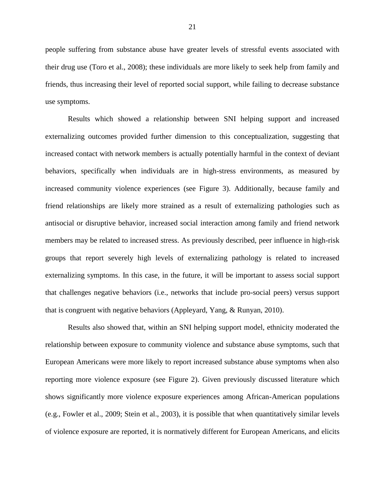people suffering from substance abuse have greater levels of stressful events associated with their drug use (Toro et al., 2008); these individuals are more likely to seek help from family and friends, thus increasing their level of reported social support, while failing to decrease substance use symptoms.

Results which showed a relationship between SNI helping support and increased externalizing outcomes provided further dimension to this conceptualization, suggesting that increased contact with network members is actually potentially harmful in the context of deviant behaviors, specifically when individuals are in high-stress environments, as measured by increased community violence experiences (see Figure 3). Additionally, because family and friend relationships are likely more strained as a result of externalizing pathologies such as antisocial or disruptive behavior, increased social interaction among family and friend network members may be related to increased stress. As previously described, peer influence in high-risk groups that report severely high levels of externalizing pathology is related to increased externalizing symptoms. In this case, in the future, it will be important to assess social support that challenges negative behaviors (i.e., networks that include pro-social peers) versus support that is congruent with negative behaviors (Appleyard, Yang, & Runyan, 2010).

Results also showed that, within an SNI helping support model, ethnicity moderated the relationship between exposure to community violence and substance abuse symptoms, such that European Americans were more likely to report increased substance abuse symptoms when also reporting more violence exposure (see Figure 2). Given previously discussed literature which shows significantly more violence exposure experiences among African-American populations (e.g., Fowler et al., 2009; Stein et al., 2003), it is possible that when quantitatively similar levels of violence exposure are reported, it is normatively different for European Americans, and elicits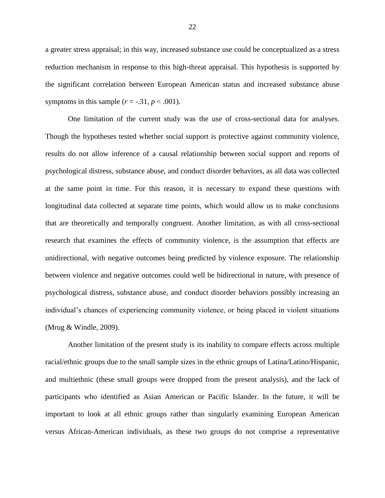a greater stress appraisal; in this way, increased substance use could be conceptualized as a stress reduction mechanism in response to this high-threat appraisal. This hypothesis is supported by the significant correlation between European American status and increased substance abuse symptoms in this sample  $(r = -.31, p < .001)$ .

One limitation of the current study was the use of cross-sectional data for analyses. Though the hypotheses tested whether social support is protective against community violence, results do not allow inference of a causal relationship between social support and reports of psychological distress, substance abuse, and conduct disorder behaviors, as all data was collected at the same point in time. For this reason, it is necessary to expand these questions with longitudinal data collected at separate time points, which would allow us to make conclusions that are theoretically and temporally congruent. Another limitation, as with all cross-sectional research that examines the effects of community violence, is the assumption that effects are unidirectional, with negative outcomes being predicted by violence exposure. The relationship between violence and negative outcomes could well be bidirectional in nature, with presence of psychological distress, substance abuse, and conduct disorder behaviors possibly increasing an individual's chances of experiencing community violence, or being placed in violent situations (Mrug & Windle, 2009).

Another limitation of the present study is its inability to compare effects across multiple racial/ethnic groups due to the small sample sizes in the ethnic groups of Latina/Latino/Hispanic, and multiethnic (these small groups were dropped from the present analysis), and the lack of participants who identified as Asian American or Pacific Islander. In the future, it will be important to look at all ethnic groups rather than singularly examining European American versus African-American individuals, as these two groups do not comprise a representative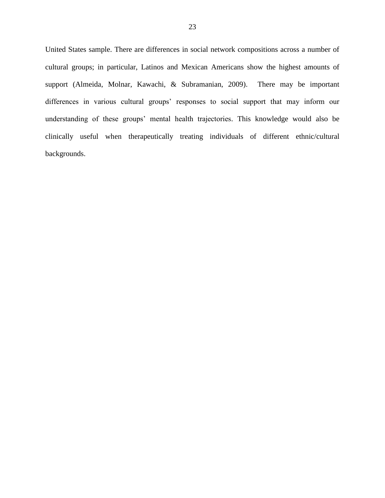United States sample. There are differences in social network compositions across a number of cultural groups; in particular, Latinos and Mexican Americans show the highest amounts of support (Almeida, Molnar, Kawachi, & Subramanian, 2009). There may be important differences in various cultural groups' responses to social support that may inform our understanding of these groups' mental health trajectories. This knowledge would also be clinically useful when therapeutically treating individuals of different ethnic/cultural backgrounds.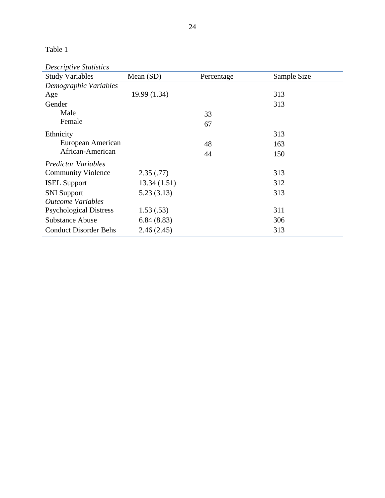*Descriptive Statistics*

| <b>Study Variables</b>        | Mean (SD)    | Percentage | Sample Size |
|-------------------------------|--------------|------------|-------------|
| Demographic Variables         |              |            |             |
| Age                           | 19.99 (1.34) |            | 313         |
| Gender                        |              |            | 313         |
| Male                          |              | 33         |             |
| Female                        |              | 67         |             |
| Ethnicity                     |              |            | 313         |
| European American             |              | 48         | 163         |
| African-American              |              | 44         | 150         |
| <b>Predictor Variables</b>    |              |            |             |
| <b>Community Violence</b>     | 2.35(.77)    |            | 313         |
| <b>ISEL Support</b>           | 13.34(1.51)  |            | 312         |
| <b>SNI</b> Support            | 5.23(3.13)   |            | 313         |
| <b>Outcome Variables</b>      |              |            |             |
| <b>Psychological Distress</b> | 1.53(.53)    |            | 311         |
| <b>Substance Abuse</b>        | 6.84(8.83)   |            | 306         |
| <b>Conduct Disorder Behs</b>  | 2.46(2.45)   |            | 313         |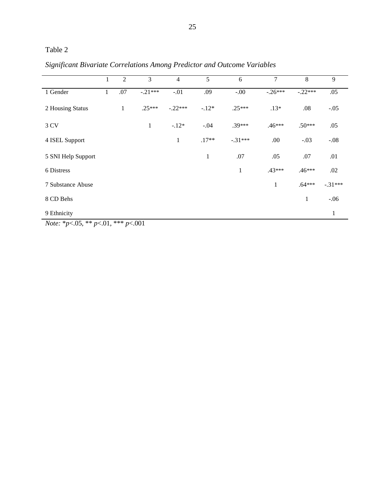|                    | 1 | $\overline{2}$ | 3            | $\overline{4}$ | 5            | 6            | 7            | 8         | 9         |
|--------------------|---|----------------|--------------|----------------|--------------|--------------|--------------|-----------|-----------|
| 1 Gender           | 1 | .07            | $-.21***$    | $-.01$         | .09          | $-.00$       | $-.26***$    | $-.22***$ | .05       |
| 2 Housing Status   |   | $\mathbf{1}$   | $.25***$     | $-.22***$      | $-.12*$      | $.25***$     | $.13*$       | .08       | $-.05$    |
| 3 CV               |   |                | $\mathbf{1}$ | $-.12*$        | $-.04$       | $.39***$     | .46***       | $.50***$  | .05       |
| 4 ISEL Support     |   |                |              | $\mathbf{1}$   | $.17**$      | $-.31***$    | .00          | $-.03$    | $-.08$    |
| 5 SNI Help Support |   |                |              |                | $\mathbf{1}$ | .07          | .05          | .07       | .01       |
| 6 Distress         |   |                |              |                |              | $\mathbf{1}$ | .43***       | .46***    | .02       |
| 7 Substance Abuse  |   |                |              |                |              |              | $\mathbf{1}$ | $.64***$  | $-.31***$ |
| 8 CD Behs          |   |                |              |                |              |              |              | 1         | $-.06$    |
| 9 Ethnicity        |   |                |              |                |              |              |              |           | 1         |

*Significant Bivariate Correlations Among Predictor and Outcome Variables*

*Note:* \**p*<.05, \*\* *p*<.01, \*\*\* *p*<.001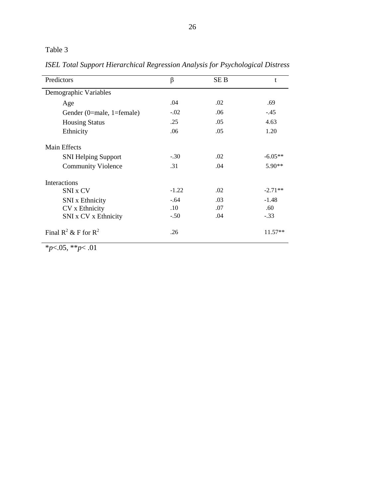*ISEL Total Support Hierarchical Regression Analysis for Psychological Distress*

| Predictors                 | β                | SE <sub>B</sub> | $\mathbf{t}$ |
|----------------------------|------------------|-----------------|--------------|
| Demographic Variables      |                  |                 |              |
| Age                        | .04              | .02             | .69          |
| Gender (0=male, 1=female)  | $-.02$           | .06             | $-.45$       |
| <b>Housing Status</b>      | .25              | .05             | 4.63         |
| Ethnicity                  | .06              | .05             | 1.20         |
| <b>Main Effects</b>        |                  |                 |              |
| <b>SNI Helping Support</b> | $-.30$           | .02             | $-6.05**$    |
| <b>Community Violence</b>  | .31              | .04             | $5.90**$     |
| Interactions               |                  |                 |              |
| SNI x CV                   | $-1.22$          | .02             | $-2.71**$    |
| <b>SNI</b> x Ethnicity     | $-.64$           | .03             | $-1.48$      |
| CV x Ethnicity             | .10 <sup>°</sup> | .07             | .60          |
| SNI x CV x Ethnicity       | $-.50$           | .04             | $-.33$       |
| Final $R^2 \& F$ for $R^2$ | .26              |                 | $11.57**$    |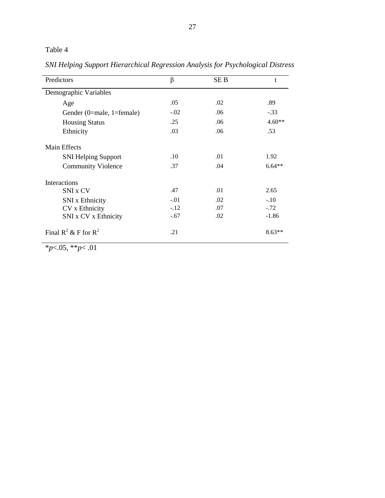*SNI Helping Support Hierarchical Regression Analysis for Psychological Distress*

| Predictors                 | β      | SE B | t        |
|----------------------------|--------|------|----------|
| Demographic Variables      |        |      |          |
| Age                        | .05    | .02  | .89      |
| Gender (0=male, 1=female)  | $-.02$ | .06  | $-.33$   |
| <b>Housing Status</b>      | .25    | .06  | $4.60**$ |
| Ethnicity                  | .03    | .06  | .53      |
| <b>Main Effects</b>        |        |      |          |
| <b>SNI Helping Support</b> | .10    | .01  | 1.92     |
| <b>Community Violence</b>  | .37    | .04  | $6.64**$ |
| Interactions               |        |      |          |
| SNI x CV                   | .47    | .01  | 2.65     |
| <b>SNI</b> x Ethnicity     | $-.01$ | .02  | $-.10$   |
| CV x Ethnicity             | $-.12$ | .07  | $-.72$   |
| SNI x CV x Ethnicity       | $-.67$ | .02  | $-1.86$  |
| Final $R^2 \& F$ for $R^2$ | .21    |      | $8.63**$ |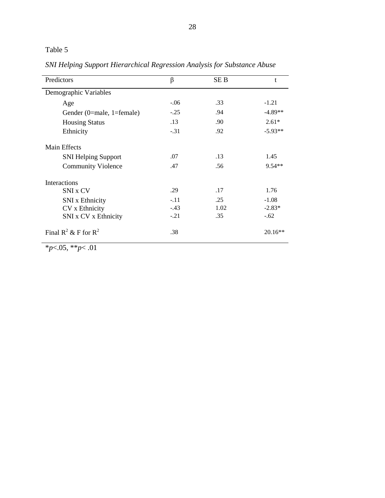*SNI Helping Support Hierarchical Regression Analysis for Substance Abuse*

| Predictors                 | β      | SE B | t         |
|----------------------------|--------|------|-----------|
| Demographic Variables      |        |      |           |
| Age                        | $-.06$ | .33  | $-1.21$   |
| Gender (0=male, 1=female)  | $-.25$ | .94  | $-4.89**$ |
| <b>Housing Status</b>      | .13    | .90  | $2.61*$   |
| Ethnicity                  | $-.31$ | .92  | $-5.93**$ |
| <b>Main Effects</b>        |        |      |           |
| <b>SNI Helping Support</b> | .07    | .13  | 1.45      |
| <b>Community Violence</b>  | .47    | .56  | 9.54**    |
| <b>Interactions</b>        |        |      |           |
| SNI x CV                   | .29    | .17  | 1.76      |
| <b>SNI</b> x Ethnicity     | $-.11$ | .25  | $-1.08$   |
| CV x Ethnicity             | $-.43$ | 1.02 | $-2.83*$  |
| SNI x CV x Ethnicity       | $-.21$ | .35  | $-.62$    |
| Final $R^2 \& F$ for $R^2$ | .38    |      | $20.16**$ |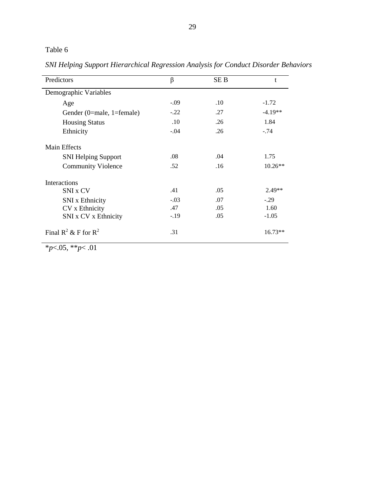*SNI Helping Support Hierarchical Regression Analysis for Conduct Disorder Behaviors*

| Predictors                 | β      | SE B | t         |
|----------------------------|--------|------|-----------|
| Demographic Variables      |        |      |           |
| Age                        | $-.09$ | .10  | $-1.72$   |
| Gender (0=male, 1=female)  | $-.22$ | .27  | $-4.19**$ |
| <b>Housing Status</b>      | .10    | .26  | 1.84      |
| Ethnicity                  | $-.04$ | .26  | $-.74$    |
| <b>Main Effects</b>        |        |      |           |
| <b>SNI Helping Support</b> | .08    | .04  | 1.75      |
| <b>Community Violence</b>  | .52    | .16  | $10.26**$ |
| Interactions               |        |      |           |
| SNI x CV                   | .41    | .05  | $2.49**$  |
| <b>SNI</b> x Ethnicity     | $-.03$ | .07  | $-.29$    |
| CV x Ethnicity             | .47    | .05  | 1.60      |
| SNI x CV x Ethnicity       | $-.19$ | .05  | $-1.05$   |
| Final $R^2 \& F$ for $R^2$ | .31    |      | $16.73**$ |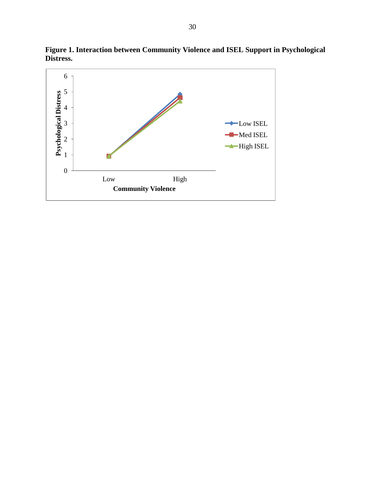

**Figure 1. Interaction between Community Violence and ISEL Support in Psychological Distress.**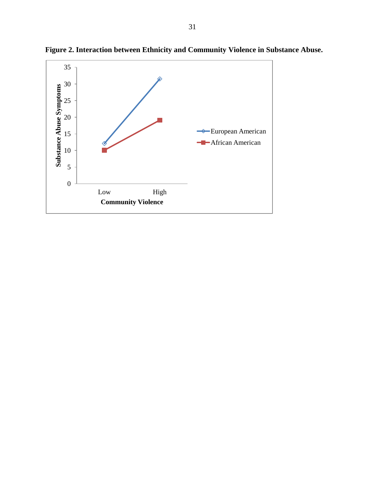

**Figure 2. Interaction between Ethnicity and Community Violence in Substance Abuse.**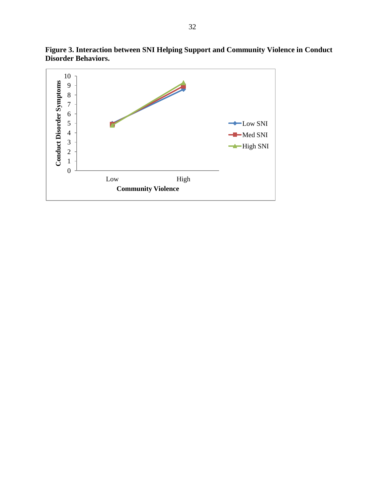

**Figure 3. Interaction between SNI Helping Support and Community Violence in Conduct Disorder Behaviors.**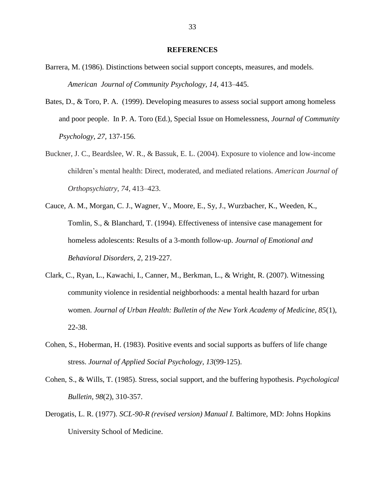#### **REFERENCES**

- Barrera, M. (1986). Distinctions between social support concepts, measures, and models. *American Journal of Community Psychology, 14,* 413–445.
- Bates, D., & Toro, P. A. (1999). Developing measures to assess social support among homeless and poor people. In P. A. Toro (Ed.), Special Issue on Homelessness, *Journal of Community Psychology, 27,* 137-156.
- Buckner, J. C., Beardslee, W. R., & Bassuk, E. L. (2004). Exposure to violence and low-income children's mental health: Direct, moderated, and mediated relations. *American Journal of Orthopsychiatry, 74*, 413–423.
- Cauce, A. M., Morgan, C. J., Wagner, V., Moore, E., Sy, J., Wurzbacher, K., Weeden, K., Tomlin, S., & Blanchard, T. (1994). Effectiveness of intensive case management for homeless adolescents: Results of a 3-month follow-up. *Journal of Emotional and Behavioral Disorders, 2,* 219-227.
- Clark, C., Ryan, L., Kawachi, I., Canner, M., Berkman, L., & Wright, R. (2007). Witnessing community violence in residential neighborhoods: a mental health hazard for urban women. *Journal of Urban Health: Bulletin of the New York Academy of Medicine, 85*(1), 22-38.
- Cohen, S., Hoberman, H. (1983). Positive events and social supports as buffers of life change stress. *Journal of Applied Social Psychology, 13*(99-125).
- Cohen, S., & Wills, T. (1985). Stress, social support, and the buffering hypothesis. *Psychological Bulletin, 98*(2), 310-357.
- Derogatis, L. R. (1977). *SCL-90-R (revised version) Manual I.* Baltimore, MD: Johns Hopkins University School of Medicine.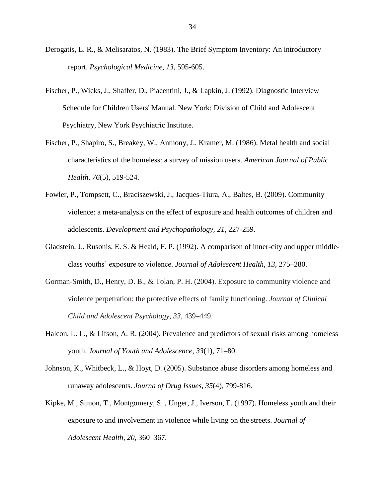- Derogatis, L. R., & Melisaratos, N. (1983). The Brief Symptom Inventory: An introductory report. *Psychological Medicine, 13,* 595-605.
- Fischer, P., Wicks, J., Shaffer, D., Piacentini, J., & Lapkin, J. (1992). Diagnostic Interview Schedule for Children Users' Manual. New York: Division of Child and Adolescent Psychiatry, New York Psychiatric Institute.
- Fischer, P., Shapiro, S., Breakey, W., Anthony, J., Kramer, M. (1986). Metal health and social characteristics of the homeless: a survey of mission users. *American Journal of Public Health, 76*(5), 519-524.
- Fowler, P., Tompsett, C., Braciszewski, J., Jacques-Tiura, A., Baltes, B. (2009). Community violence: a meta-analysis on the effect of exposure and health outcomes of children and adolescents. *Development and Psychopathology, 21*, 227-259.
- Gladstein, J., Rusonis, E. S. & Heald, F. P. (1992). A comparison of inner-city and upper middleclass youths' exposure to violence. *Journal of Adolescent Health, 13*, 275–280.
- Gorman-Smith, D., Henry, D. B., & Tolan, P. H. (2004). Exposure to community violence and violence perpetration: the protective effects of family functioning. *Journal of Clinical Child and Adolescent Psychology, 33*, 439–449.
- Halcon, L. L., & Lifson, A. R. (2004). Prevalence and predictors of sexual risks among homeless youth. *Journal of Youth and Adolescence*, *33*(1), 71–80.
- Johnson, K., Whitbeck, L., & Hoyt, D. (2005). Substance abuse disorders among homeless and runaway adolescents. *Journa of Drug Issues, 35*(4), 799-816.
- Kipke, M., Simon, T., Montgomery, S. , Unger, J., Iverson, E. (1997). Homeless youth and their exposure to and involvement in violence while living on the streets. *Journal of Adolescent Health, 20*, 360–367.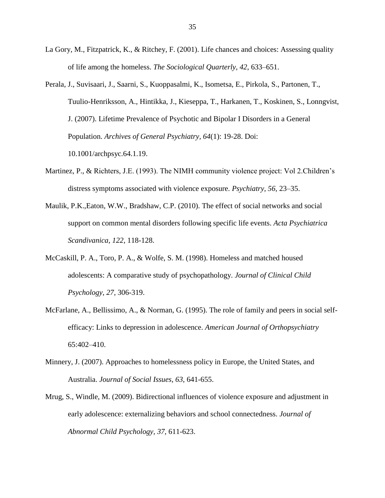- La Gory, M., Fitzpatrick, K., & Ritchey, F. (2001). Life chances and choices: Assessing quality of life among the homeless. *The Sociological Quarterly, 42*, 633–651.
- Perala, J., Suvisaari, J., Saarni, S., Kuoppasalmi, K., Isometsa, E., Pirkola, S., Partonen, T., Tuulio-Henriksson, A., Hintikka, J., Kieseppa, T., Harkanen, T., Koskinen, S., Lonngvist, J. (2007). Lifetime Prevalence of Psychotic and Bipolar I Disorders in a General Population. *Archives of General Psychiatry, 64*(1): 19-28. Doi: 10.1001/archpsyc.64.1.19.
- Martinez, P., & Richters, J.E. (1993). The NIMH community violence project: Vol 2.Children's distress symptoms associated with violence exposure. *Psychiatry, 56,* 23–35.
- Maulik, P.K.,Eaton, W.W., Bradshaw, C.P. (2010). The effect of social networks and social support on common mental disorders following specific life events. *Acta Psychiatrica Scandivanica, 122*, 118-128.
- McCaskill, P. A., Toro, P. A., & Wolfe, S. M. (1998). Homeless and matched housed adolescents: A comparative study of psychopathology. *Journal of Clinical Child Psychology, 27,* 306-319.
- McFarlane, A., Bellissimo, A., & Norman, G. (1995). The role of family and peers in social selfefficacy: Links to depression in adolescence. *American Journal of Orthopsychiatry*  65:402–410.
- Minnery, J. (2007). Approaches to homelessness policy in Europe, the United States, and Australia. *Journal of Social Issues, 63*, 641-655.
- Mrug, S., Windle, M. (2009). Bidirectional influences of violence exposure and adjustment in early adolescence: externalizing behaviors and school connectedness. *Journal of Abnormal Child Psychology, 37*, 611-623.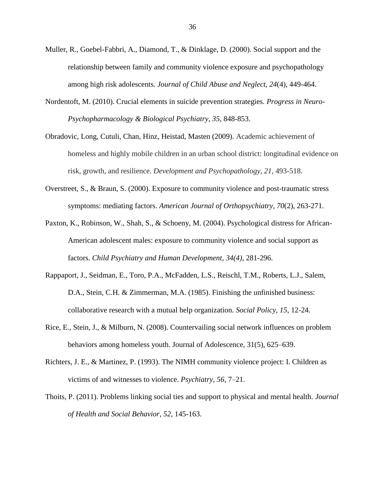- Muller, R., Goebel-Fabbri, A., Diamond, T., & Dinklage, D. (2000). Social support and the relationship between family and community violence exposure and psychopathology among high risk adolescents. *Journal of Child Abuse and Neglect, 24*(4), 449-464.
- Nordentoft, M. (2010). Crucial elements in suicide prevention strategies. *Progress in Neuro-Psychopharmacology & Biological Psychiatry*, *35*, 848-853.
- Obradovic, Long, Cutuli, Chan, Hinz, Heistad, Masten (2009). Academic achievement of homeless and highly mobile children in an urban school district: longitudinal evidence on risk, growth, and resilience. *Development and Psychopathology, 21*, 493-518.
- Overstreet, S., & Braun, S. (2000). Exposure to community violence and post-traumatic stress symptoms: mediating factors. *American Journal of Orthopsychiatry, 70*(2), 263-271.
- Paxton, K., Robinson, W., Shah, S., & Schoeny, M. (2004). Psychological distress for African-American adolescent males: exposure to community violence and social support as factors. *Child Psychiatry and Human Development, 34(4),* 281-296.
- Rappaport, J., Seidman, E., Toro, P.A., McFadden, L.S., Reischl, T.M., Roberts, L.J., Salem, D.A., Stein, C.H. & Zimmerman, M.A. (1985). Finishing the unfinished business: collaborative research with a mutual help organization. *Social Policy, 15*, 12-24.
- Rice, E., Stein, J., & Milburn, N. (2008). Countervailing social network influences on problem behaviors among homeless youth. Journal of Adolescence, 31(5), 625–639.
- Richters, J. E., & Martinez, P. (1993). The NIMH community violence project: I. Children as victims of and witnesses to violence. *Psychiatry*, *56*, 7–21.
- Thoits, P. (2011). Problems linking social ties and support to physical and mental health. *Journal of Health and Social Behavior, 52*, 145-163.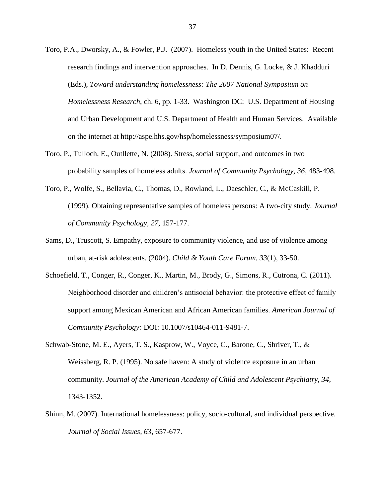- Toro, P.A., Dworsky, A., & Fowler, P.J. (2007). Homeless youth in the United States: Recent research findings and intervention approaches. In D. Dennis, G. Locke, & J. Khadduri (Eds.), *Toward understanding homelessness: The 2007 National Symposium on Homelessness Research*, ch. 6, pp. 1-33. Washington DC: U.S. Department of Housing and Urban Development and U.S. Department of Health and Human Services. Available on the internet at http://aspe.hhs.gov/hsp/homelessness/symposium07/.
- Toro, P., Tulloch, E., Outllette, N. (2008). Stress, social support, and outcomes in two probability samples of homeless adults. *Journal of Community Psychology, 36*, 483-498.
- Toro, P., Wolfe, S., Bellavia, C., Thomas, D., Rowland, L., Daeschler, C., & McCaskill, P. (1999). Obtaining representative samples of homeless persons: A two-city study. *Journal of Community Psychology, 27,* 157-177.
- Sams, D., Truscott, S. Empathy, exposure to community violence, and use of violence among urban, at-risk adolescents. (2004). *Child & Youth Care Forum, 33*(1), 33-50.
- Schoefield, T., Conger, R., Conger, K., Martin, M., Brody, G., Simons, R., Cutrona, C. (2011). Neighborhood disorder and children's antisocial behavior: the protective effect of family support among Mexican American and African American families. *American Journal of Community Psychology:* DOI: 10.1007/s10464-011-9481-7.
- Schwab-Stone, M. E., Ayers, T. S., Kasprow, W., Voyce, C., Barone, C., Shriver, T., & Weissberg, R. P. (1995). No safe haven: A study of violence exposure in an urban community. *Journal of the American Academy of Child and Adolescent Psychiatry, 34*, 1343-1352.
- Shinn, M. (2007). International homelessness: policy, socio-cultural, and individual perspective. *Journal of Social Issues, 63*, 657-677.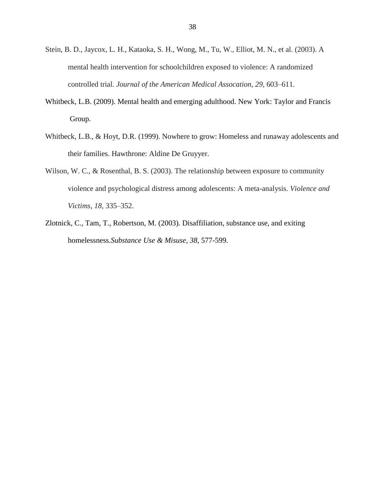- Stein, B. D., Jaycox, L. H., Kataoka, S. H., Wong, M., Tu, W., Elliot, M. N., et al. (2003). A mental health intervention for schoolchildren exposed to violence: A randomized controlled trial. *Journal of the American Medical Assocation, 29*, 603–611.
- Whitbeck, L.B. (2009). Mental health and emerging adulthood. New York: Taylor and Francis Group.
- Whitbeck, L.B., & Hoyt, D.R. (1999). Nowhere to grow: Homeless and runaway adolescents and their families. Hawthrone: Aldine De Gruyyer.
- Wilson, W. C., & Rosenthal, B. S. (2003). The relationship between exposure to community violence and psychological distress among adolescents: A meta-analysis. *Violence and Victims, 18*, 335–352.
- Zlotnick, C., Tam, T., Robertson, M. (2003). Disaffiliation, substance use, and exiting homelessness.*Substance Use & Misuse*, *38*, 577-599.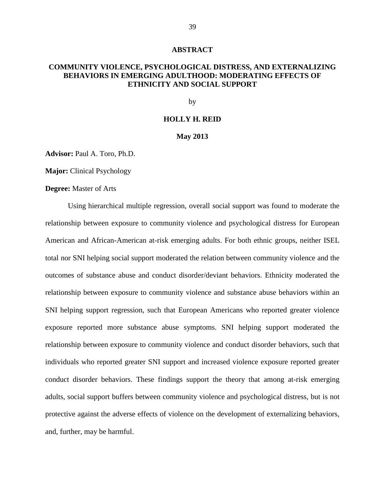#### **ABSTRACT**

### **COMMUNITY VIOLENCE, PSYCHOLOGICAL DISTRESS, AND EXTERNALIZING BEHAVIORS IN EMERGING ADULTHOOD: MODERATING EFFECTS OF ETHNICITY AND SOCIAL SUPPORT**

by

#### **HOLLY H. REID**

#### **May 2013**

**Advisor:** Paul A. Toro, Ph.D.

**Major:** Clinical Psychology

#### **Degree:** Master of Arts

Using hierarchical multiple regression, overall social support was found to moderate the relationship between exposure to community violence and psychological distress for European American and African-American at-risk emerging adults. For both ethnic groups, neither ISEL total nor SNI helping social support moderated the relation between community violence and the outcomes of substance abuse and conduct disorder/deviant behaviors. Ethnicity moderated the relationship between exposure to community violence and substance abuse behaviors within an SNI helping support regression, such that European Americans who reported greater violence exposure reported more substance abuse symptoms. SNI helping support moderated the relationship between exposure to community violence and conduct disorder behaviors, such that individuals who reported greater SNI support and increased violence exposure reported greater conduct disorder behaviors. These findings support the theory that among at-risk emerging adults, social support buffers between community violence and psychological distress, but is not protective against the adverse effects of violence on the development of externalizing behaviors, and, further, may be harmful.